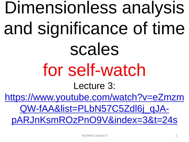## Dimensionless analysis and significance of time scales for self-watch Lecture 3: https://www.youtube.com/watch?v=eZmzm QW-fAA&list=PLbN57C5Zdl6j\_qJA[pARJnKsmROzPnO9V&index=3&t=24s](https://www.youtube.com/watch?v=eZmzmQW-fAA&list=PLbN57C5Zdl6j_qJA-pARJnKsmROzPnO9V&index=3&t=24s)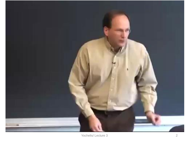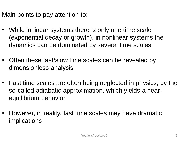Main points to pay attention to:

- While in linear systems there is only one time scale (exponential decay or growth), in nonlinear systems the dynamics can be dominated by several time scales
- Often these fast/slow time scales can be revealed by dimensionless analysis
- Fast time scales are often being neglected in physics, by the so-called adiabatic approximation, which yields a nearequilibrium behavior
- However, in reality, fast time scales may have dramatic implications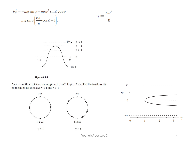$$
b\dot{\phi} = -mg\sin\phi + mr\omega^2 \sin\phi \cos\phi
$$
  
=  $mg\sin\phi \left(\frac{r\omega^2}{g}\cos\phi - 1\right)$ .  

$$
\gamma = \frac{r\omega^2}{g}
$$





As  $\gamma \to \infty$ , these intersections approach  $\pm \pi/2$ . Figure 3.5.5 plots the fixed points on the hoop for the cases  $\gamma$  < 1 and  $\gamma$  > 1.



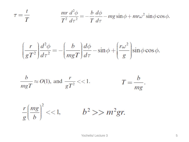$$
\tau = \frac{t}{T}
$$
\n
$$
\frac{mr}{T^2} \frac{d^2 \phi}{d\tau^2} = -\frac{b}{T} \frac{d\phi}{d\tau} - mg \sin \phi + mr\omega^2 \sin \phi \cos \phi.
$$

$$
\left(\frac{r}{gT^2}\right)\frac{d^2\phi}{d\tau^2} = -\left(\frac{b}{mgT}\right)\frac{d\phi}{d\tau} - \sin\phi + \left(\frac{r\omega^2}{g}\right)\sin\phi\cos\phi.
$$

$$
\frac{b}{mgT} \approx O(1), \text{ and } \frac{r}{gT^2} << 1. \qquad T = \frac{b}{mg}.
$$

$$
\frac{r}{g}\left(\frac{mg}{b}\right)^2 \ll 1, \qquad b^2 >> m^2gr.
$$

 $\alpha$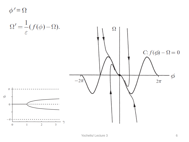$\phi' = \Omega$ 

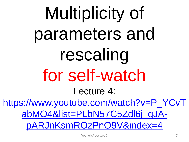## Multiplicity of parameters and rescaling for self-watch Lecture 4: [https://www.youtube.com/watch?v=P\\_YCvT](https://www.youtube.com/watch?v=P_YCvTabMO4&list=PLbN57C5Zdl6j_qJA-pARJnKsmROzPnO9V&index=4) abMO4&list=PLbN57C5Zdl6j\_qJApARJnKsmROzPnO9V&index=4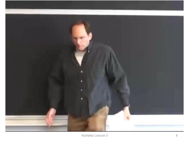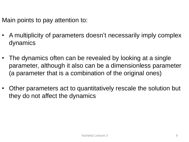Main points to pay attention to:

- A multiplicity of parameters doesn't necessarily imply complex dynamics
- The dynamics often can be revealed by looking at a single parameter, although it also can be a dimensionless parameter (a parameter that is a combination of the original ones)
- Other parameters act to quantitatively rescale the solution but they do not affect the dynamics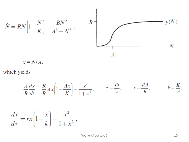$x = N/A$ ,

which yields

$$
\frac{A}{B}\frac{dx}{dt} = \frac{R}{B}Ax\left(1 - \frac{Ax}{K}\right) - \frac{x^2}{1 + x^2}, \qquad \tau = \frac{Bt}{A}, \qquad r = \frac{RA}{B}, \qquad k = \frac{K}{A}.
$$

$$
\frac{dx}{d\tau} = rx \left(1 - \frac{x}{k}\right) - \frac{x^2}{1 + x^2},
$$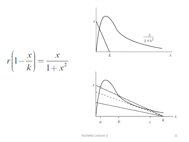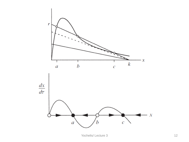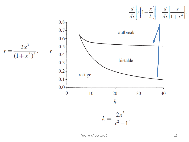